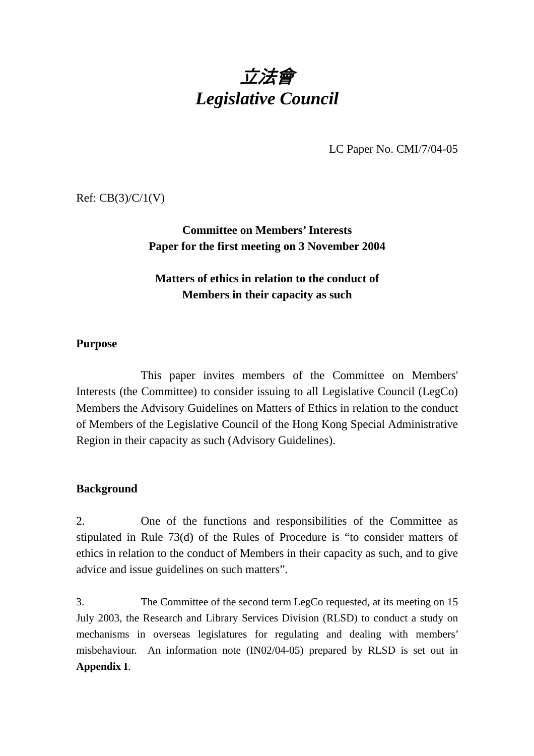# 立法會 *Legislative Council*

LC Paper No. CMI/7/04-05

Ref: CB(3)/C/1(V)

# **Committee on Members' Interests Paper for the first meeting on 3 November 2004**

# **Matters of ethics in relation to the conduct of Members in their capacity as such**

# **Purpose**

 This paper invites members of the Committee on Members' Interests (the Committee) to consider issuing to all Legislative Council (LegCo) Members the Advisory Guidelines on Matters of Ethics in relation to the conduct of Members of the Legislative Council of the Hong Kong Special Administrative Region in their capacity as such (Advisory Guidelines).

## **Background**

2. One of the functions and responsibilities of the Committee as stipulated in Rule 73(d) of the Rules of Procedure is "to consider matters of ethics in relation to the conduct of Members in their capacity as such, and to give advice and issue guidelines on such matters".

3. The Committee of the second term LegCo requested, at its meeting on 15 July 2003, the Research and Library Services Division (RLSD) to conduct a study on mechanisms in overseas legislatures for regulating and dealing with members' misbehaviour. An information note (IN02/04-05) prepared by RLSD is set out in **Appendix I**.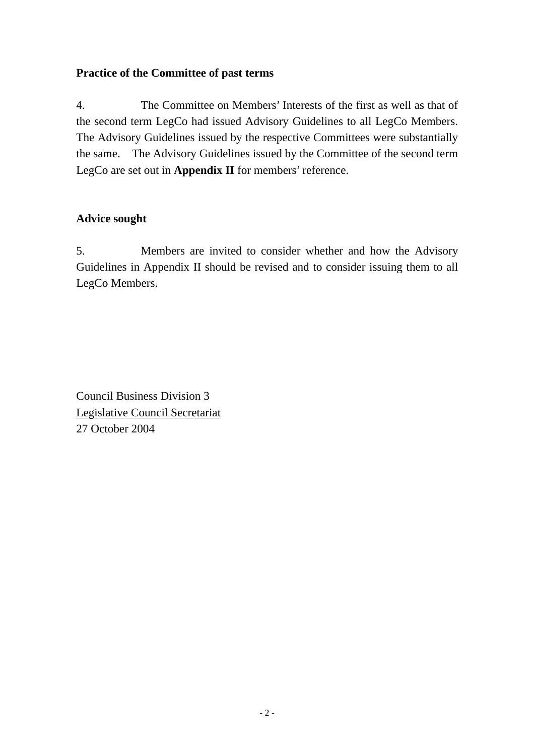# **Practice of the Committee of past terms**

4. The Committee on Members' Interests of the first as well as that of the second term LegCo had issued Advisory Guidelines to all LegCo Members. The Advisory Guidelines issued by the respective Committees were substantially the same. The Advisory Guidelines issued by the Committee of the second term LegCo are set out in **Appendix II** for members' reference.

# **Advice sought**

5. Members are invited to consider whether and how the Advisory Guidelines in Appendix II should be revised and to consider issuing them to all LegCo Members.

Council Business Division 3 Legislative Council Secretariat 27 October 2004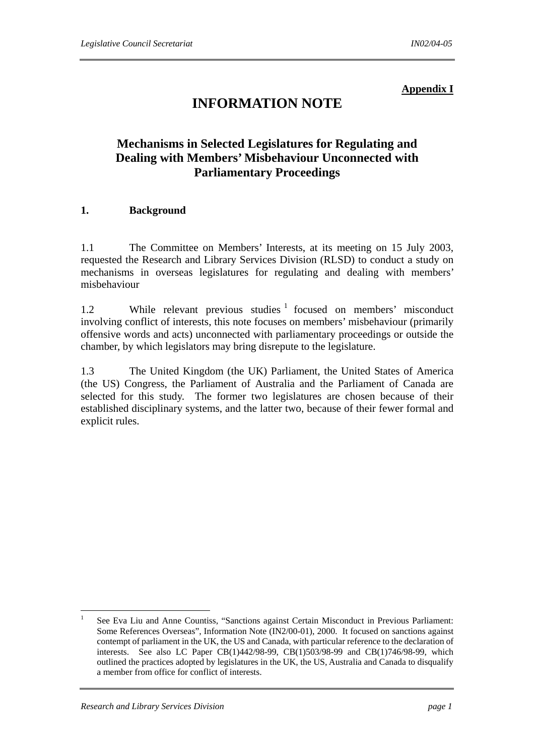#### **Appendix I**

# **INFORMATION NOTE**

# **Mechanisms in Selected Legislatures for Regulating and Dealing with Members' Misbehaviour Unconnected with Parliamentary Proceedings**

#### **1. Background**

1.1 The Committee on Members' Interests, at its meeting on 15 July 2003, requested the Research and Library Services Division (RLSD) to conduct a study on mechanisms in overseas legislatures for regulating and dealing with members' misbehaviour

1.2 While relevant previous studies <sup>1</sup> focused on members' misconduct involving conflict of interests, this note focuses on members' misbehaviour (primarily offensive words and acts) unconnected with parliamentary proceedings or outside the chamber, by which legislators may bring disrepute to the legislature.

1.3 The United Kingdom (the UK) Parliament, the United States of America (the US) Congress, the Parliament of Australia and the Parliament of Canada are selected for this study. The former two legislatures are chosen because of their established disciplinary systems, and the latter two, because of their fewer formal and explicit rules.

 $\frac{1}{1}$  See Eva Liu and Anne Countiss, "Sanctions against Certain Misconduct in Previous Parliament: Some References Overseas", Information Note (IN2/00-01), 2000. It focused on sanctions against contempt of parliament in the UK, the US and Canada, with particular reference to the declaration of interests. See also LC Paper CB(1)442/98-99, CB(1)503/98-99 and CB(1)746/98-99, which outlined the practices adopted by legislatures in the UK, the US, Australia and Canada to disqualify a member from office for conflict of interests.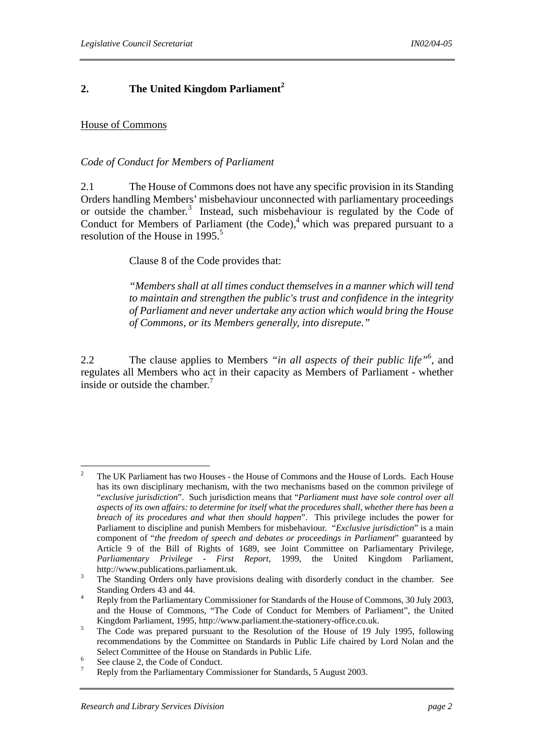# **2.** The United Kingdom Parliament<sup>2</sup>

#### House of Commons

#### *Code of Conduct for Members of Parliament*

2.1 The House of Commons does not have any specific provision in its Standing Orders handling Members' misbehaviour unconnected with parliamentary proceedings or outside the chamber.<sup>3</sup> Instead, such misbehaviour is regulated by the Code of Conduct for Members of Parliament (the Code), $4$  which was prepared pursuant to a resolution of the House in 1995.<sup>5</sup>

#### Clause 8 of the Code provides that:

*"Members shall at all times conduct themselves in a manner which will tend to maintain and strengthen the public's trust and confidence in the integrity of Parliament and never undertake any action which would bring the House of Commons, or its Members generally, into disrepute."*

2.2 The clause applies to Members *"in all aspects of their public life"*<sup>6</sup> , and regulates all Members who act in their capacity as Members of Parliament - whether inside or outside the chamber.<sup>7</sup>

 $\frac{1}{2}$  The UK Parliament has two Houses - the House of Commons and the House of Lords. Each House has its own disciplinary mechanism, with the two mechanisms based on the common privilege of "*exclusive jurisdiction*". Such jurisdiction means that "*Parliament must have sole control over all aspects of its own affairs: to determine for itself what the procedures shall, whether there has been a breach of its procedures and what then should happen*". This privilege includes the power for Parliament to discipline and punish Members for misbehaviour. "*Exclusive jurisdiction*" is a main component of "*the freedom of speech and debates or proceedings in Parliament*" guaranteed by Article 9 of the Bill of Rights of 1689, see Joint Committee on Parliamentary Privilege, *Parliamentary Privilege - First Report*, 1999, the United Kingdom Parliament, http://www.publications.parliament.uk. 3

The Standing Orders only have provisions dealing with disorderly conduct in the chamber. See Standing Orders  $43$  and  $44$ .

Reply from the Parliamentary Commissioner for Standards of the House of Commons, 30 July 2003, and the House of Commons, "The Code of Conduct for Members of Parliament", the United Kingdom Parliament, 1995, http://www.parliament.the-stationery-office.co.uk.

The Code was prepared pursuant to the Resolution of the House of 19 July 1995, following recommendations by the Committee on Standards in Public Life chaired by Lord Nolan and the Select Committee of the House on Standards in Public Life.

See clause 2, the Code of Conduct.

<sup>7</sup> Reply from the Parliamentary Commissioner for Standards, 5 August 2003.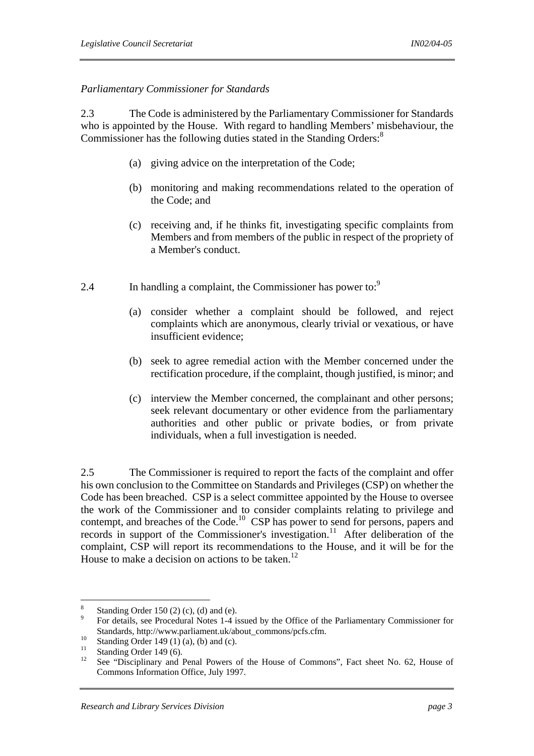#### *Parliamentary Commissioner for Standards*

2.3 The Code is administered by the Parliamentary Commissioner for Standards who is appointed by the House. With regard to handling Members' misbehaviour, the Commissioner has the following duties stated in the Standing Orders:<sup>8</sup>

- (a) giving advice on the interpretation of the Code;
- (b) monitoring and making recommendations related to the operation of the Code; and
- (c) receiving and, if he thinks fit, investigating specific complaints from Members and from members of the public in respect of the propriety of a Member's conduct.
- 2.4 In handling a complaint, the Commissioner has power to:<sup>9</sup>
	- (a) consider whether a complaint should be followed, and reject complaints which are anonymous, clearly trivial or vexatious, or have insufficient evidence;
	- (b) seek to agree remedial action with the Member concerned under the rectification procedure, if the complaint, though justified, is minor; and
	- (c) interview the Member concerned, the complainant and other persons; seek relevant documentary or other evidence from the parliamentary authorities and other public or private bodies, or from private individuals, when a full investigation is needed.

2.5 The Commissioner is required to report the facts of the complaint and offer his own conclusion to the Committee on Standards and Privileges (CSP) on whether the Code has been breached. CSP is a select committee appointed by the House to oversee the work of the Commissioner and to consider complaints relating to privilege and contempt, and breaches of the Code.<sup>10</sup> CSP has power to send for persons, papers and records in support of the Commissioner's investigation.<sup>11</sup> After deliberation of the complaint, CSP will report its recommendations to the House, and it will be for the House to make a decision on actions to be taken.<sup>12</sup>

 8 Standing Order 150 (2) (c), (d) and (e).

 $\overline{9}$  For details, see Procedural Notes 1-4 issued by the Office of the Parliamentary Commissioner for Standards, http://www.parliament.uk/about\_commons/pcfs.cfm.<br>
Standing Order 149 (1) (a), (b) and (c).<br>  $\frac{11}{2}$  Standing Order 140 (6)

 $\frac{11}{12}$  Standing Order 149 (6).

<sup>12</sup> See "Disciplinary and Penal Powers of the House of Commons", Fact sheet No. 62, House of Commons Information Office, July 1997.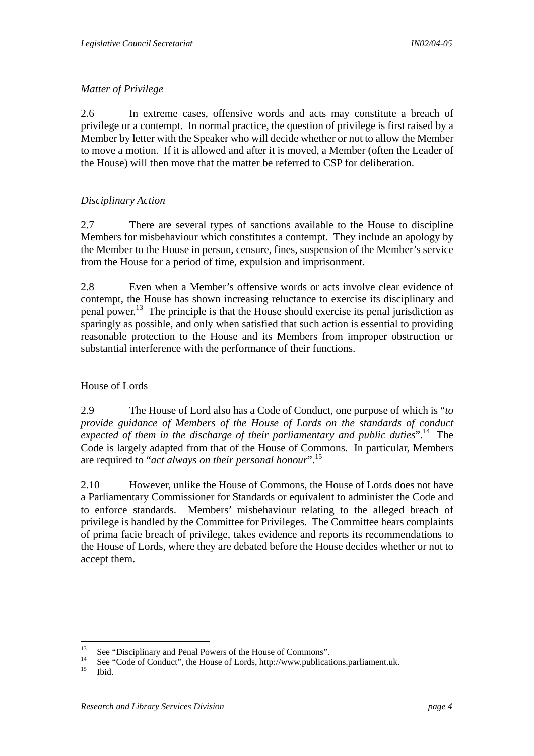# *Matter of Privilege*

2.6 In extreme cases, offensive words and acts may constitute a breach of privilege or a contempt. In normal practice, the question of privilege is first raised by a Member by letter with the Speaker who will decide whether or not to allow the Member to move a motion. If it is allowed and after it is moved, a Member (often the Leader of the House) will then move that the matter be referred to CSP for deliberation.

# *Disciplinary Action*

2.7 There are several types of sanctions available to the House to discipline Members for misbehaviour which constitutes a contempt. They include an apology by the Member to the House in person, censure, fines, suspension of the Member's service from the House for a period of time, expulsion and imprisonment.

2.8 Even when a Member's offensive words or acts involve clear evidence of contempt, the House has shown increasing reluctance to exercise its disciplinary and penal power.<sup>13</sup> The principle is that the House should exercise its penal jurisdiction as sparingly as possible, and only when satisfied that such action is essential to providing reasonable protection to the House and its Members from improper obstruction or substantial interference with the performance of their functions.

## House of Lords

2.9 The House of Lord also has a Code of Conduct, one purpose of which is "*to provide guidance of Members of the House of Lords on the standards of conduct expected of them in the discharge of their parliamentary and public duties*".14 The Code is largely adapted from that of the House of Commons. In particular, Members are required to "*act always on their personal honour*".15

2.10 However, unlike the House of Commons, the House of Lords does not have a Parliamentary Commissioner for Standards or equivalent to administer the Code and to enforce standards. Members' misbehaviour relating to the alleged breach of privilege is handled by the Committee for Privileges. The Committee hears complaints of prima facie breach of privilege, takes evidence and reports its recommendations to the House of Lords, where they are debated before the House decides whether or not to accept them.

<sup>13</sup> <sup>13</sup> See "Disciplinary and Penal Powers of the House of Commons".

<sup>&</sup>lt;sup>14</sup> See "Code of Conduct", the House of Lords, http://www.publications.parliament.uk.<br><sup>15</sup> Ibid.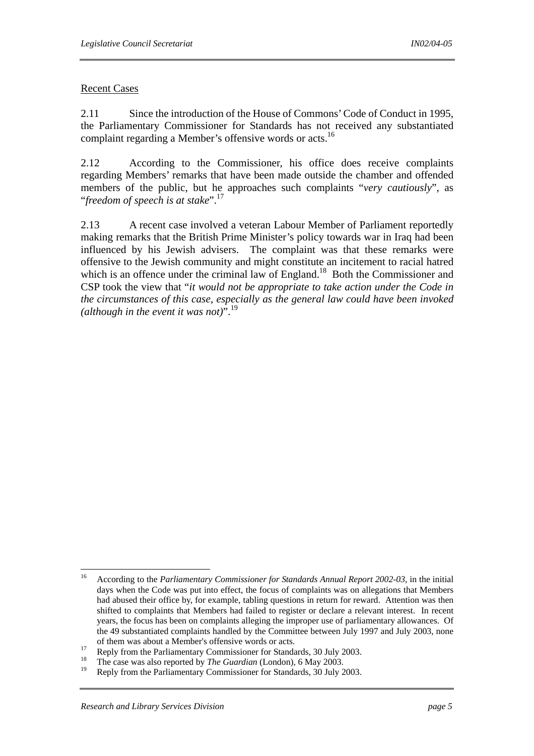## Recent Cases

2.11 Since the introduction of the House of Commons' Code of Conduct in 1995, the Parliamentary Commissioner for Standards has not received any substantiated complaint regarding a Member's offensive words or acts.<sup>16</sup>

2.12 According to the Commissioner, his office does receive complaints regarding Members' remarks that have been made outside the chamber and offended members of the public, but he approaches such complaints "*very cautiously*", as "*freedom of speech is at stake*".17

2.13 A recent case involved a veteran Labour Member of Parliament reportedly making remarks that the British Prime Minister's policy towards war in Iraq had been influenced by his Jewish advisers. The complaint was that these remarks were offensive to the Jewish community and might constitute an incitement to racial hatred which is an offence under the criminal law of England.<sup>18</sup> Both the Commissioner and CSP took the view that "*it would not be appropriate to take action under the Code in the circumstances of this case, especially as the general law could have been invoked (although in the event it was not)*".<sup>19</sup>

 $16$ 16 According to the *Parliamentary Commissioner for Standards Annual Report 2002-03*, in the initial days when the Code was put into effect, the focus of complaints was on allegations that Members had abused their office by, for example, tabling questions in return for reward. Attention was then shifted to complaints that Members had failed to register or declare a relevant interest. In recent years, the focus has been on complaints alleging the improper use of parliamentary allowances. Of the 49 substantiated complaints handled by the Committee between July 1997 and July 2003, none

of them was about a Member's offensive words or acts.<br>
<sup>17</sup> Reply from the Parliamentary Commissioner for Standards, 30 July 2003.<br>
<sup>18</sup>

<sup>&</sup>lt;sup>18</sup> The case was also reported by *The Guardian* (London), 6 May 2003.

Reply from the Parliamentary Commissioner for Standards, 30 July 2003.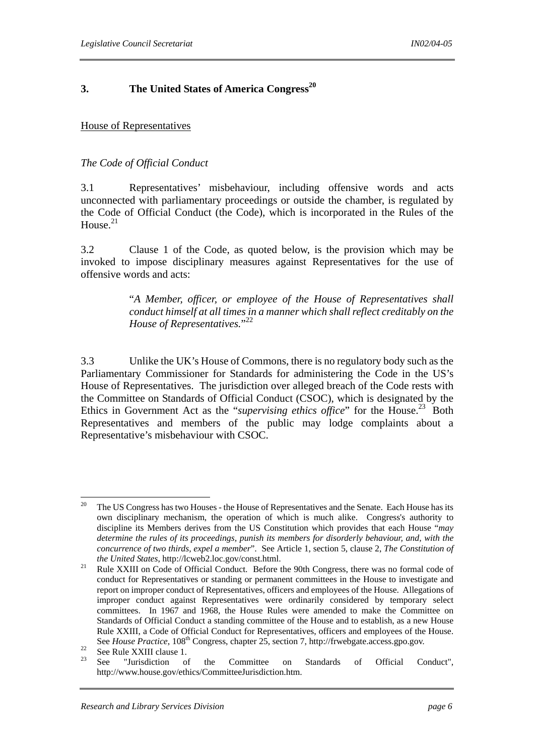### **3. The United States of America Congress<sup>20</sup>**

#### House of Representatives

#### *The Code of Official Conduct*

3.1 Representatives' misbehaviour, including offensive words and acts unconnected with parliamentary proceedings or outside the chamber, is regulated by the Code of Official Conduct (the Code), which is incorporated in the Rules of the House $^{21}$ 

3.2 Clause 1 of the Code, as quoted below, is the provision which may be invoked to impose disciplinary measures against Representatives for the use of offensive words and acts:

> "*A Member, officer, or employee of the House of Representatives shall conduct himself at all times in a manner which shall reflect creditably on the House of Representatives.*" 22

3.3 Unlike the UK's House of Commons, there is no regulatory body such as the Parliamentary Commissioner for Standards for administering the Code in the US's House of Representatives. The jurisdiction over alleged breach of the Code rests with the Committee on Standards of Official Conduct (CSOC), which is designated by the Ethics in Government Act as the "*supervising ethics office*" for the House.<sup>23</sup> Both Representatives and members of the public may lodge complaints about a Representative's misbehaviour with CSOC.

 $20$ The US Congress has two Houses - the House of Representatives and the Senate. Each House has its own disciplinary mechanism, the operation of which is much alike. Congress's authority to discipline its Members derives from the US Constitution which provides that each House "*may determine the rules of its proceedings, punish its members for disorderly behaviour, and, with the concurrence of two thirds, expel a member*". See Article 1, section 5, clause 2, *The Constitution of the United States*, http://lcweb2.loc.gov/const.html.<br><sup>21</sup> Rule XXIII on Code of Official Conduct. Before the 90th Congress, there was no formal code of

conduct for Representatives or standing or permanent committees in the House to investigate and report on improper conduct of Representatives, officers and employees of the House. Allegations of improper conduct against Representatives were ordinarily considered by temporary select committees. In 1967 and 1968, the House Rules were amended to make the Committee on Standards of Official Conduct a standing committee of the House and to establish, as a new House Rule XXIII, a Code of Official Conduct for Representatives, officers and employees of the House. See *House Practice*, 108<sup>th</sup> Congress, chapter 25, section 7, http://frwebgate.access.gpo.gov.<br>
See Rule XXIII clause 1.<br>
<sup>23</sup>

<sup>23</sup> See "Jurisdiction of the Committee on Standards of Official Conduct", http://www.house.gov/ethics/CommitteeJurisdiction.htm.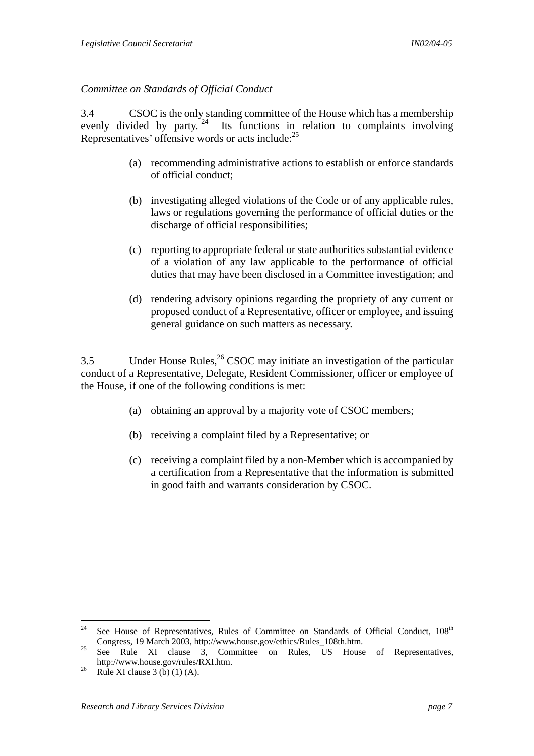*Committee on Standards of Official Conduct* 

3.4 CSOC is the only standing committee of the House which has a membership evenly divided by party.<sup>24</sup> Its functions in relation to complaints involving Its functions in relation to complaints involving Representatives' offensive words or acts include:25

- (a) recommending administrative actions to establish or enforce standards of official conduct;
- (b) investigating alleged violations of the Code or of any applicable rules, laws or regulations governing the performance of official duties or the discharge of official responsibilities;
- (c) reporting to appropriate federal or state authorities substantial evidence of a violation of any law applicable to the performance of official duties that may have been disclosed in a Committee investigation; and
- (d) rendering advisory opinions regarding the propriety of any current or proposed conduct of a Representative, officer or employee, and issuing general guidance on such matters as necessary.

3.5 Under House Rules,  ${}^{26}$  CSOC may initiate an investigation of the particular conduct of a Representative, Delegate, Resident Commissioner, officer or employee of the House, if one of the following conditions is met:

- (a) obtaining an approval by a majority vote of CSOC members;
- (b) receiving a complaint filed by a Representative; or
- (c) receiving a complaint filed by a non-Member which is accompanied by a certification from a Representative that the information is submitted in good faith and warrants consideration by CSOC.

<sup>24</sup> See House of Representatives, Rules of Committee on Standards of Official Conduct, 108<sup>th</sup>

Congress, 19 March 2003, http://www.house.gov/ethics/Rules\_108th.htm. 25 See Rule XI clause 3, Committee on Rules, US House of Representatives, http://www.house.gov/rules/RXI.htm.<br><sup>26</sup> Rule XI clause 3 (b) (1) (A).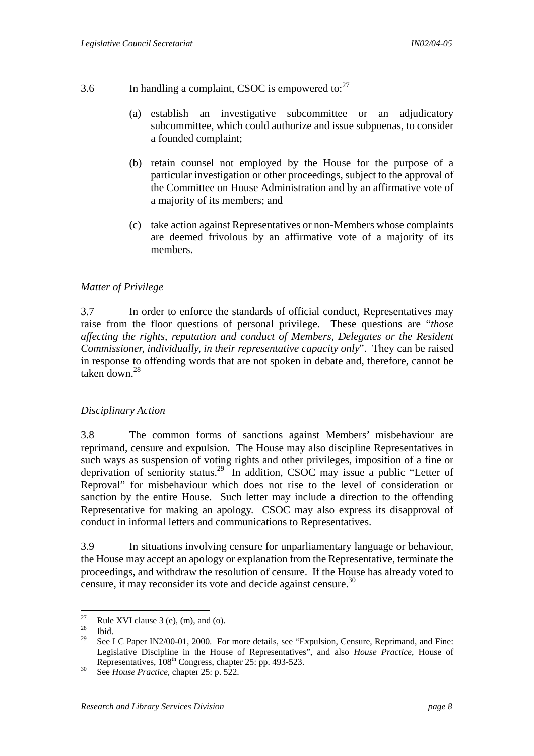- 3.6 In handling a complaint, CSOC is empowered to: $27$ 
	- (a) establish an investigative subcommittee or an adjudicatory subcommittee, which could authorize and issue subpoenas, to consider a founded complaint;
	- (b) retain counsel not employed by the House for the purpose of a particular investigation or other proceedings, subject to the approval of the Committee on House Administration and by an affirmative vote of a majority of its members; and
	- (c) take action against Representatives or non-Members whose complaints are deemed frivolous by an affirmative vote of a majority of its members.

#### *Matter of Privilege*

3.7 In order to enforce the standards of official conduct, Representatives may raise from the floor questions of personal privilege. These questions are "*those affecting the rights, reputation and conduct of Members, Delegates or the Resident Commissioner, individually, in their representative capacity only*". They can be raised in response to offending words that are not spoken in debate and, therefore, cannot be taken down.<sup>28</sup>

#### *Disciplinary Action*

3.8 The common forms of sanctions against Members' misbehaviour are reprimand, censure and expulsion. The House may also discipline Representatives in such ways as suspension of voting rights and other privileges, imposition of a fine or deprivation of seniority status.29 In addition, CSOC may issue a public "Letter of Reproval" for misbehaviour which does not rise to the level of consideration or sanction by the entire House. Such letter may include a direction to the offending Representative for making an apology. CSOC may also express its disapproval of conduct in informal letters and communications to Representatives.

3.9 In situations involving censure for unparliamentary language or behaviour, the House may accept an apology or explanation from the Representative, terminate the proceedings, and withdraw the resolution of censure. If the House has already voted to censure, it may reconsider its vote and decide against censure.<sup>30</sup>

 $27$ <sup>27</sup> Rule XVI clause 3 (e), (m), and (o).

 $rac{28}{29}$  Ibid.

See LC Paper IN2/00-01, 2000. For more details, see "Expulsion, Censure, Reprimand, and Fine: Legislative Discipline in the House of Representatives", and also *House Practice*, House of Representatives, 108<sup>th</sup> Congress, chapter 25: pp. 493-523.<br>See *House Practice*, chapter 25: p. 522.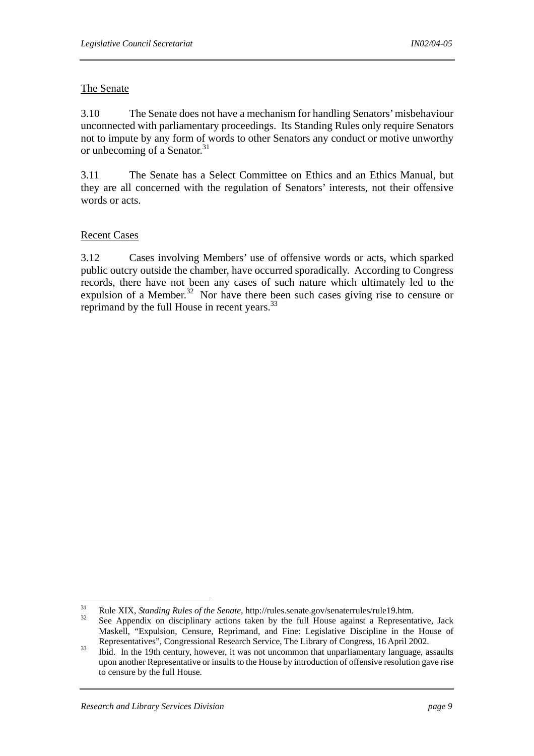## The Senate

3.10 The Senate does not have a mechanism for handling Senators' misbehaviour unconnected with parliamentary proceedings. Its Standing Rules only require Senators not to impute by any form of words to other Senators any conduct or motive unworthy or unbecoming of a Senator.<sup>31</sup>

3.11 The Senate has a Select Committee on Ethics and an Ethics Manual, but they are all concerned with the regulation of Senators' interests, not their offensive words or acts.

## Recent Cases

3.12 Cases involving Members' use of offensive words or acts, which sparked public outcry outside the chamber, have occurred sporadically. According to Congress records, there have not been any cases of such nature which ultimately led to the expulsion of a Member.<sup>32</sup> Nor have there been such cases giving rise to censure or reprimand by the full House in recent years.<sup>33</sup>

 $31$ 

<sup>&</sup>lt;sup>31</sup> Rule XIX, *Standing Rules of the Senate*, http://rules.senate.gov/senaterrules/rule19.htm.<br><sup>32</sup> See Appendix on disciplinary actions taken by the full House against a Representative, Jack Maskell, "Expulsion, Censure, Reprimand, and Fine: Legislative Discipline in the House of Representatives", Congressional Research Service, The Library of Congress, 16 April 2002.<br>
33 Ibid. In the 19th century, however, it was not uncommon that unparliamentary language, assaults

upon another Representative or insults to the House by introduction of offensive resolution gave rise to censure by the full House.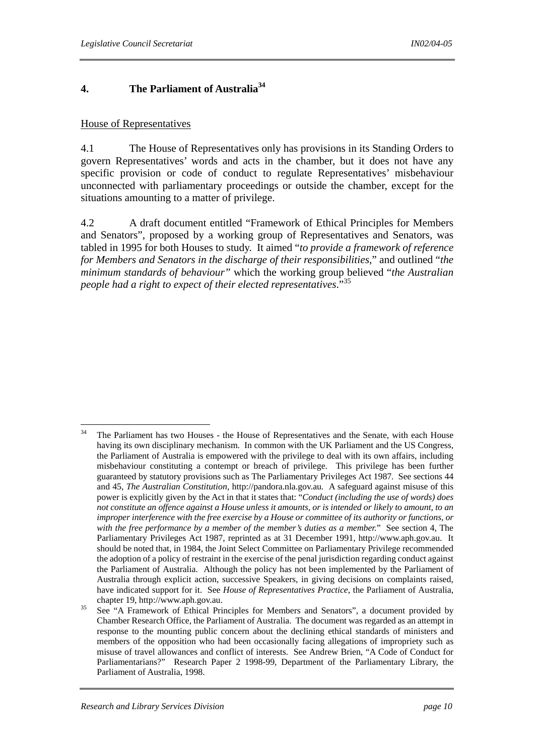# **4. The Parliament of Australia34**

#### House of Representatives

4.1 The House of Representatives only has provisions in its Standing Orders to govern Representatives' words and acts in the chamber, but it does not have any specific provision or code of conduct to regulate Representatives' misbehaviour unconnected with parliamentary proceedings or outside the chamber, except for the situations amounting to a matter of privilege.

4.2 A draft document entitled "Framework of Ethical Principles for Members and Senators", proposed by a working group of Representatives and Senators, was tabled in 1995 for both Houses to study. It aimed "*to provide a framework of reference for Members and Senators in the discharge of their responsibilities*," and outlined "*the minimum standards of behaviour"* which the working group believed "*the Australian people had a right to expect of their elected representatives*."35

<sup>34</sup> 34 The Parliament has two Houses - the House of Representatives and the Senate, with each House having its own disciplinary mechanism. In common with the UK Parliament and the US Congress, the Parliament of Australia is empowered with the privilege to deal with its own affairs, including misbehaviour constituting a contempt or breach of privilege. This privilege has been further guaranteed by statutory provisions such as The Parliamentary Privileges Act 1987*.* See sections 44 and 45, *The Australian Constitution,* http://pandora.nla.gov.au*.* A safeguard against misuse of this power is explicitly given by the Act in that it states that: "*Conduct (including the use of words) does not constitute an offence against a House unless it amounts, or is intended or likely to amount, to an improper interference with the free exercise by a House or committee of its authority or functions, or with the free performance by a member of the member's duties as a member.*" See section 4, The Parliamentary Privileges Act 1987, reprinted as at 31 December 1991, http://www.aph.gov.au. It should be noted that, in 1984, the Joint Select Committee on Parliamentary Privilege recommended the adoption of a policy of restraint in the exercise of the penal jurisdiction regarding conduct against the Parliament of Australia. Although the policy has not been implemented by the Parliament of Australia through explicit action, successive Speakers, in giving decisions on complaints raised, have indicated support for it. See *House of Representatives Practice*, the Parliament of Australia,

chapter 19, http://www.aph.gov.au.<br>See "A Framework of Ethical Principles for Members and Senators", a document provided by Chamber Research Office, the Parliament of Australia. The document was regarded as an attempt in response to the mounting public concern about the declining ethical standards of ministers and members of the opposition who had been occasionally facing allegations of impropriety such as misuse of travel allowances and conflict of interests. See Andrew Brien, "A Code of Conduct for Parliamentarians?" Research Paper 2 1998-99, Department of the Parliamentary Library, the Parliament of Australia, 1998.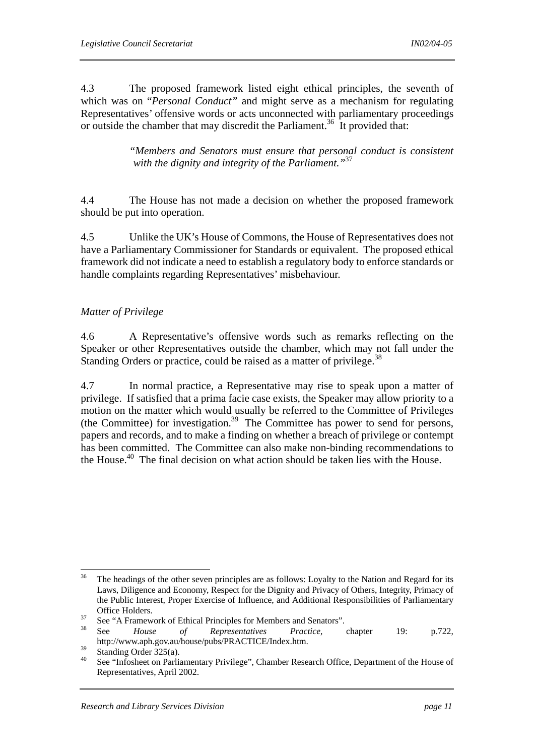4.3 The proposed framework listed eight ethical principles, the seventh of which was on "*Personal Conduct"* and might serve as a mechanism for regulating Representatives' offensive words or acts unconnected with parliamentary proceedings or outside the chamber that may discredit the Parliament.<sup>36</sup> It provided that:

> *"Members and Senators must ensure that personal conduct is consistent with the dignity and integrity of the Parliament."*<sup>37</sup>

4.4 The House has not made a decision on whether the proposed framework should be put into operation.

4.5 Unlike the UK's House of Commons, the House of Representatives does not have a Parliamentary Commissioner for Standards or equivalent. The proposed ethical framework did not indicate a need to establish a regulatory body to enforce standards or handle complaints regarding Representatives' misbehaviour.

## *Matter of Privilege*

4.6 A Representative's offensive words such as remarks reflecting on the Speaker or other Representatives outside the chamber, which may not fall under the Standing Orders or practice, could be raised as a matter of privilege.<sup>38</sup>

4.7 In normal practice, a Representative may rise to speak upon a matter of privilege. If satisfied that a prima facie case exists, the Speaker may allow priority to a motion on the matter which would usually be referred to the Committee of Privileges (the Committee) for investigation.<sup>39</sup> The Committee has power to send for persons, papers and records, and to make a finding on whether a breach of privilege or contempt has been committed. The Committee can also make non-binding recommendations to the House.<sup>40</sup> The final decision on what action should be taken lies with the House.

 $36<sup>2</sup>$ 36 The headings of the other seven principles are as follows: Loyalty to the Nation and Regard for its Laws, Diligence and Economy, Respect for the Dignity and Privacy of Others, Integrity, Primacy of the Public Interest, Proper Exercise of Influence, and Additional Responsibilities of Parliamentary

Office Holders.<br>
<sup>37</sup> See "A Framework of Ethical Principles for Members and Senators".<br>
<sup>38</sup> See *House of Representatives Practice*, chapter 19: p.722, http://www.aph.gov.au/house/pubs/PRACTICE/Index.htm.

 $39$  Standing Order 325(a).

<sup>40</sup> See "Infosheet on Parliamentary Privilege", Chamber Research Office, Department of the House of Representatives, April 2002.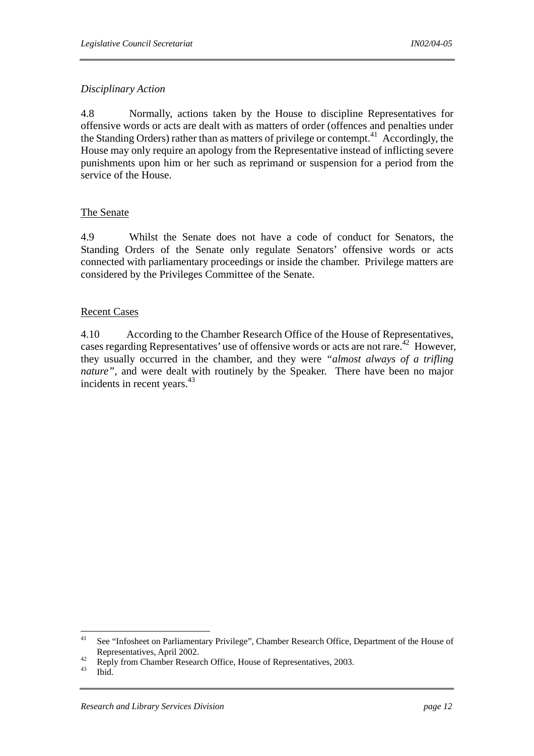# *Disciplinary Action*

4.8 Normally, actions taken by the House to discipline Representatives for offensive words or acts are dealt with as matters of order (offences and penalties under the Standing Orders) rather than as matters of privilege or contempt.41 Accordingly, the House may only require an apology from the Representative instead of inflicting severe punishments upon him or her such as reprimand or suspension for a period from the service of the House.

#### The Senate

4.9 Whilst the Senate does not have a code of conduct for Senators, the Standing Orders of the Senate only regulate Senators' offensive words or acts connected with parliamentary proceedings or inside the chamber. Privilege matters are considered by the Privileges Committee of the Senate.

## Recent Cases

4.10 According to the Chamber Research Office of the House of Representatives, cases regarding Representatives' use of offensive words or acts are not rare.<sup>42</sup> However, they usually occurred in the chamber, and they were *"almost always of a trifling nature"*, and were dealt with routinely by the Speaker. There have been no major incidents in recent years.<sup>43</sup>

 $41$ 41 See "Infosheet on Parliamentary Privilege", Chamber Research Office, Department of the House of

Representatives, April 2002.<br><sup>42</sup> Reply from Chamber Research Office, House of Representatives, 2003.<br><sup>43</sup> Ibid.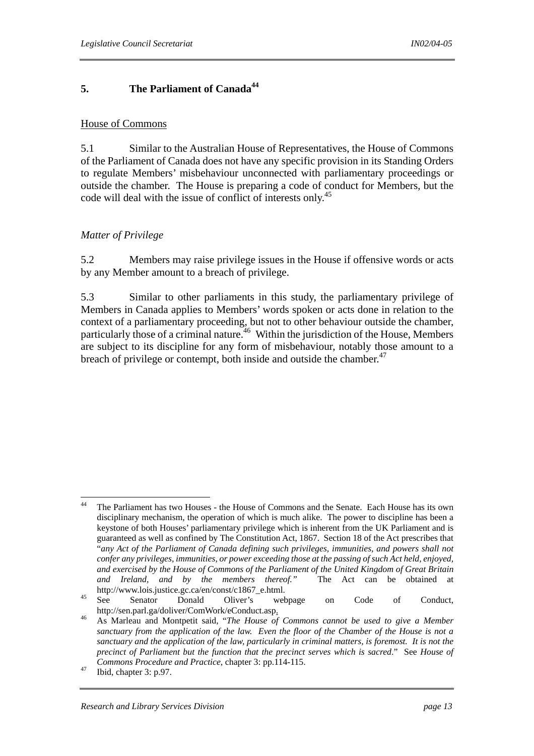# **5.** The Parliament of Canada<sup>44</sup>

#### House of Commons

5.1 Similar to the Australian House of Representatives, the House of Commons of the Parliament of Canada does not have any specific provision in its Standing Orders to regulate Members' misbehaviour unconnected with parliamentary proceedings or outside the chamber. The House is preparing a code of conduct for Members, but the code will deal with the issue of conflict of interests only.<sup>45</sup>

#### *Matter of Privilege*

5.2 Members may raise privilege issues in the House if offensive words or acts by any Member amount to a breach of privilege.

5.3 Similar to other parliaments in this study, the parliamentary privilege of Members in Canada applies to Members' words spoken or acts done in relation to the context of a parliamentary proceeding, but not to other behaviour outside the chamber, particularly those of a criminal nature.<sup>46</sup> Within the jurisdiction of the House, Members are subject to its discipline for any form of misbehaviour, notably those amount to a breach of privilege or contempt, both inside and outside the chamber.<sup>47</sup>

 $\overline{a}$ 

<sup>44</sup> The Parliament has two Houses - the House of Commons and the Senate. Each House has its own disciplinary mechanism, the operation of which is much alike. The power to discipline has been a keystone of both Houses' parliamentary privilege which is inherent from the UK Parliament and is guaranteed as well as confined by The Constitution Act, 1867. Section 18 of the Act prescribes that "*any Act of the Parliament of Canada defining such privileges, immunities, and powers shall not confer any privileges, immunities, or power exceeding those at the passing of such Act held, enjoyed, and exercised by the House of Commons of the Parliament of the United Kingdom of Great Britain and Ireland, and by the members thereof."* The Act can be obtained at

http://www.lois.justice.gc.ca/en/const/c1867\_e.html.<br>
<sup>45</sup> See Senator Donald Oliver's webpage on Code of Conduct, http://sen.parl.ga/doliver/ComWork/eConduct.asp. 46 As Marleau and Montpetit said, "*The House of Commons cannot be used to give a Member* 

*sanctuary from the application of the law. Even the floor of the Chamber of the House is not a sanctuary and the application of the law, particularly in criminal matters, is foremost. It is not the precinct of Parliament but the function that the precinct serves which is sacred*." See *House of Commons Procedure and Practice*, chapter 3: pp.114-115. 47 Ibid, chapter 3: p.97.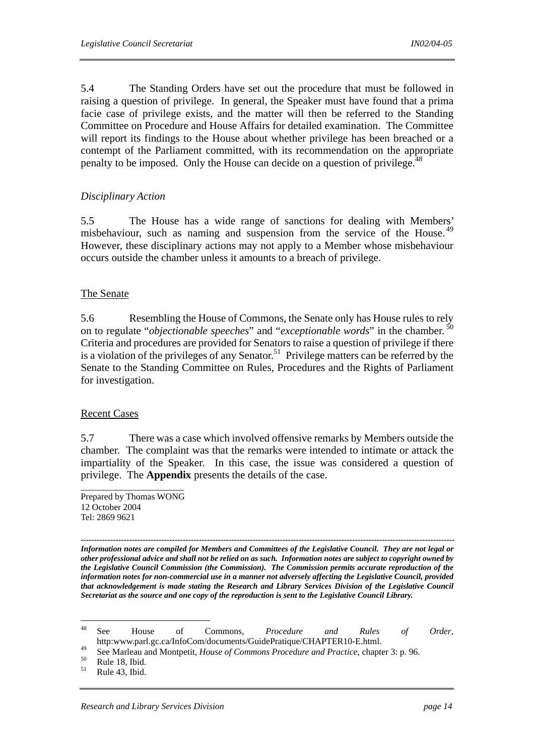5.4 The Standing Orders have set out the procedure that must be followed in raising a question of privilege. In general, the Speaker must have found that a prima facie case of privilege exists, and the matter will then be referred to the Standing Committee on Procedure and House Affairs for detailed examination. The Committee will report its findings to the House about whether privilege has been breached or a contempt of the Parliament committed, with its recommendation on the appropriate penalty to be imposed. Only the House can decide on a question of privilege.<sup>48</sup>

#### *Disciplinary Action*

5.5 The House has a wide range of sanctions for dealing with Members' misbehaviour, such as naming and suspension from the service of the House.<sup>49</sup> However, these disciplinary actions may not apply to a Member whose misbehaviour occurs outside the chamber unless it amounts to a breach of privilege.

#### The Senate

5.6 Resembling the House of Commons, the Senate only has House rules to rely on to regulate "*objectionable speeches*" and "*exceptionable words*" in the chamber. 50 Criteria and procedures are provided for Senators to raise a question of privilege if there is a violation of the privileges of any Senator.<sup>51</sup> Privilege matters can be referred by the Senate to the Standing Committee on Rules, Procedures and the Rights of Parliament for investigation.

#### Recent Cases

5.7 There was a case which involved offensive remarks by Members outside the chamber. The complaint was that the remarks were intended to intimate or attack the impartiality of the Speaker. In this case, the issue was considered a question of privilege. The **Appendix** presents the details of the case.

Prepared by Thomas WONG 12 October 2004 Tel: 2869 9621

*------------------------------------------------------------------------------------------------------------------------------------------- Information notes are compiled for Members and Committees of the Legislative Council. They are not legal or other professional advice and shall not be relied on as such. Information notes are subject to copyright owned by the Legislative Council Commission (the Commission). The Commission permits accurate reproduction of the information notes for non-commercial use in a manner not adversely affecting the Legislative Council, provided that acknowledgement is made stating the Research and Library Services Division of the Legislative Council Secretariat as the source and one copy of the reproduction is sent to the Legislative Council Library.* 

<sup>48</sup> 48 See House of Commons, *Procedure and Rules of Order*, http:www.parl.gc.ca/InfoCom/documents/GuidePratique/CHAPTER10-E.html.

<sup>&</sup>lt;sup>49</sup> See Marleau and Montpetit, *House of Commons Procedure and Practice*, chapter 3: p. 96.<br><sup>50</sup> Rule 18, Ibid.<br><sup>51</sup> Rule 1<sup>2</sup>

Rule 43, Ibid.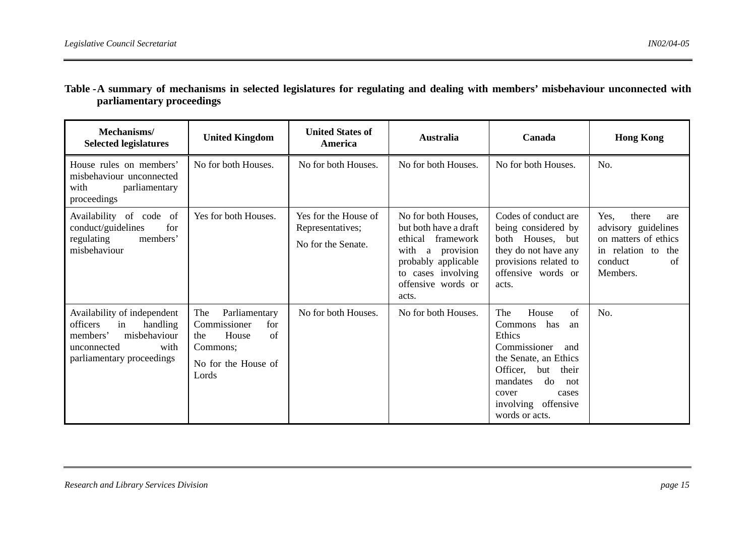| Table -A summary of mechanisms in selected legislatures for regulating and dealing with members' misbehaviour unconnected with |  |  |  |  |  |  |
|--------------------------------------------------------------------------------------------------------------------------------|--|--|--|--|--|--|
| parliamentary proceedings                                                                                                      |  |  |  |  |  |  |

| Mechanisms/<br><b>Selected legislatures</b>                                                                                               | <b>United Kingdom</b>                                                                                         |                                                                | Australia                                                                                                                                                                  | Canada                                                                                                                                                                                                               | <b>Hong Kong</b>                                                                                                          |
|-------------------------------------------------------------------------------------------------------------------------------------------|---------------------------------------------------------------------------------------------------------------|----------------------------------------------------------------|----------------------------------------------------------------------------------------------------------------------------------------------------------------------------|----------------------------------------------------------------------------------------------------------------------------------------------------------------------------------------------------------------------|---------------------------------------------------------------------------------------------------------------------------|
| House rules on members'<br>misbehaviour unconnected<br>parliamentary<br>with<br>proceedings                                               | No for both Houses.                                                                                           | No for both Houses.                                            | No for both Houses.                                                                                                                                                        | No for both Houses.                                                                                                                                                                                                  | No.                                                                                                                       |
| Availability of code of<br>conduct/guidelines<br>for<br>regulating<br>members'<br>misbehaviour                                            | Yes for both Houses.                                                                                          | Yes for the House of<br>Representatives;<br>No for the Senate. | No for both Houses,<br>but both have a draft<br>ethical<br>framework<br>with<br>provision<br>a<br>probably applicable<br>to cases involving<br>offensive words or<br>acts. | Codes of conduct are<br>being considered by<br>both Houses, but<br>they do not have any<br>provisions related to<br>offensive words or<br>acts.                                                                      | Yes,<br>there<br>are<br>advisory guidelines<br>on matters of ethics<br>in relation to<br>the<br>conduct<br>of<br>Members. |
| Availability of independent<br>officers<br>in<br>handling<br>misbehaviour<br>members'<br>unconnected<br>with<br>parliamentary proceedings | The<br>Parliamentary<br>Commissioner<br>for<br>House<br>of<br>the<br>Commons;<br>No for the House of<br>Lords | No for both Houses.                                            | No for both Houses.                                                                                                                                                        | House<br>of<br>The<br>Commons<br>has<br>an<br>Ethics<br>Commissioner<br>and<br>the Senate, an Ethics<br>Officer,<br>but<br>their<br>mandates<br>do<br>not<br>cover<br>cases<br>involving offensive<br>words or acts. | No.                                                                                                                       |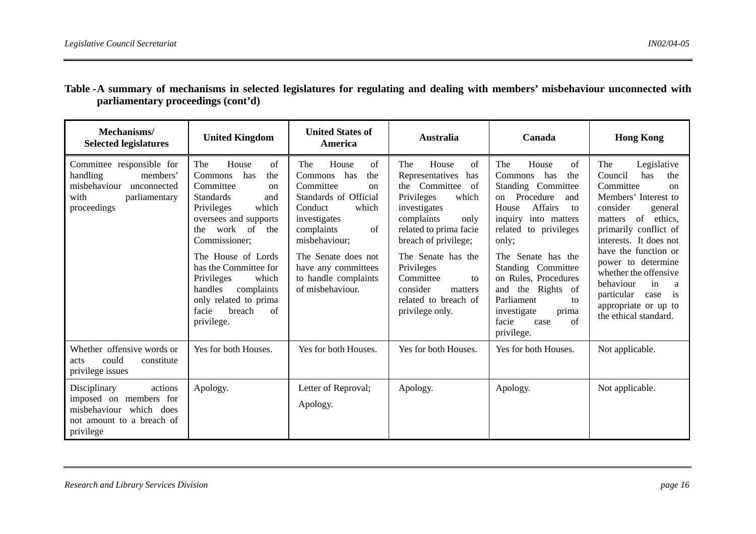| Mechanisms/<br><b>Selected legislatures</b>                                                                               | <b>United Kingdom</b>                                                                                                                                                                                                                                                                                                                                     | <b>United States of</b><br>America                                                                                                                                                                                                                      | <b>Australia</b>                                                                                                                                                                                                                                                                                               | Canada                                                                                                                                                                                                                                                                                                                                                                    | <b>Hong Kong</b>                                                                                                                                                                                                                                                                                                                                                               |  |
|---------------------------------------------------------------------------------------------------------------------------|-----------------------------------------------------------------------------------------------------------------------------------------------------------------------------------------------------------------------------------------------------------------------------------------------------------------------------------------------------------|---------------------------------------------------------------------------------------------------------------------------------------------------------------------------------------------------------------------------------------------------------|----------------------------------------------------------------------------------------------------------------------------------------------------------------------------------------------------------------------------------------------------------------------------------------------------------------|---------------------------------------------------------------------------------------------------------------------------------------------------------------------------------------------------------------------------------------------------------------------------------------------------------------------------------------------------------------------------|--------------------------------------------------------------------------------------------------------------------------------------------------------------------------------------------------------------------------------------------------------------------------------------------------------------------------------------------------------------------------------|--|
| Committee responsible for<br>members'<br>handling<br>misbehaviour<br>unconnected<br>with<br>parliamentary<br>proceedings  | House<br>of<br>The<br>has<br><b>Commons</b><br>the<br>Committee<br>on<br><b>Standards</b><br>and<br>which<br>Privileges<br>oversees and supports<br>work of<br>the<br>the<br>Commissioner;<br>The House of Lords<br>has the Committee for<br>Privileges<br>which<br>handles<br>complaints<br>only related to prima<br>breach<br>facie<br>of<br>privilege. | House<br>The<br>of<br>Commons has<br>the<br>Committee<br>on<br>Standards of Official<br>which<br>Conduct<br>investigates<br>complaints<br>of<br>misbehaviour;<br>The Senate does not<br>have any committees<br>to handle complaints<br>of misbehaviour. | House<br>The<br>of<br>Representatives<br>has<br>Committee<br>the<br>of<br>Privileges<br>which<br>investigates<br>complaints<br>only<br>related to prima facie<br>breach of privilege;<br>The Senate has the<br>Privileges<br>Committee<br>to<br>consider<br>matters<br>related to breach of<br>privilege only. | House<br>The<br>of<br>has<br>Commons<br>the<br>Standing Committee<br>Procedure<br>and<br>on<br><b>Affairs</b><br>House<br>to<br>into matters<br>inquiry<br>related<br>to privileges<br>only;<br>The Senate has the<br>Standing Committee<br>on Rules, Procedures<br>the Rights of<br>and<br>Parliament<br>to<br>investigate<br>prima<br>facie<br>of<br>case<br>privilege. | The<br>Legislative<br>Council<br>has<br>the<br>Committee<br>$\alpha$<br>Members' Interest to<br>consider<br>general<br>of<br>ethics,<br>matters<br>primarily conflict of<br>interests. It does not<br>have the function or<br>power to determine<br>whether the offensive<br>behaviour<br>in<br>a<br>particular<br>is<br>case<br>appropriate or up to<br>the ethical standard. |  |
| Whether offensive words or<br>could<br>constitute<br>acts<br>privilege issues                                             | Yes for both Houses.                                                                                                                                                                                                                                                                                                                                      | Yes for both Houses.                                                                                                                                                                                                                                    | Yes for both Houses.                                                                                                                                                                                                                                                                                           | Yes for both Houses.                                                                                                                                                                                                                                                                                                                                                      | Not applicable.                                                                                                                                                                                                                                                                                                                                                                |  |
| Disciplinary<br>actions<br>imposed on members for<br>misbehaviour<br>which does<br>not amount to a breach of<br>privilege | Apology.                                                                                                                                                                                                                                                                                                                                                  | Letter of Reproval;<br>Apology.                                                                                                                                                                                                                         | Apology.                                                                                                                                                                                                                                                                                                       | Apology.                                                                                                                                                                                                                                                                                                                                                                  | Not applicable.                                                                                                                                                                                                                                                                                                                                                                |  |

Table - A summary of mechanisms in selected legislatures for regulating and dealing with members' misbehaviour unconnected with **parliamentary proceedings (cont'd)**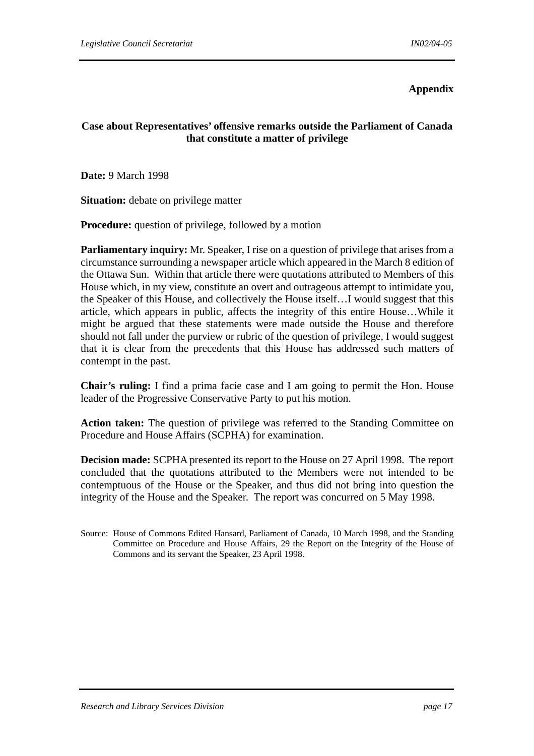#### **Appendix**

# **Case about Representatives' offensive remarks outside the Parliament of Canada that constitute a matter of privilege**

**Date:** 9 March 1998

**Situation:** debate on privilege matter

**Procedure:** question of privilege, followed by a motion

**Parliamentary inquiry:** Mr. Speaker, I rise on a question of privilege that arises from a circumstance surrounding a newspaper article which appeared in the March 8 edition of the Ottawa Sun. Within that article there were quotations attributed to Members of this House which, in my view, constitute an overt and outrageous attempt to intimidate you, the Speaker of this House, and collectively the House itself…I would suggest that this article, which appears in public, affects the integrity of this entire House…While it might be argued that these statements were made outside the House and therefore should not fall under the purview or rubric of the question of privilege, I would suggest that it is clear from the precedents that this House has addressed such matters of contempt in the past.

**Chair's ruling:** I find a prima facie case and I am going to permit the Hon. House leader of the Progressive Conservative Party to put his motion.

**Action taken:** The question of privilege was referred to the Standing Committee on Procedure and House Affairs (SCPHA) for examination.

**Decision made:** SCPHA presented its report to the House on 27 April 1998. The report concluded that the quotations attributed to the Members were not intended to be contemptuous of the House or the Speaker, and thus did not bring into question the integrity of the House and the Speaker. The report was concurred on 5 May 1998.

Source: House of Commons Edited Hansard, Parliament of Canada, 10 March 1998, and the Standing Committee on Procedure and House Affairs, 29 the Report on the Integrity of the House of Commons and its servant the Speaker, 23 April 1998.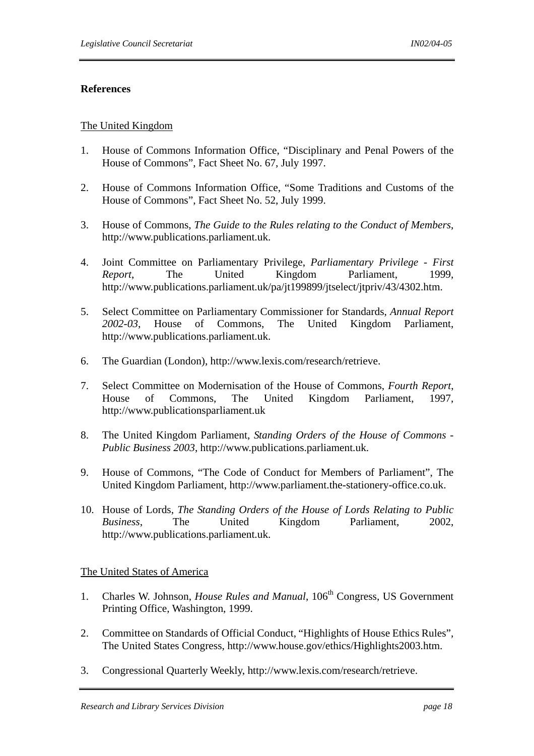#### **References**

#### The United Kingdom

- 1. House of Commons Information Office, "Disciplinary and Penal Powers of the House of Commons", Fact Sheet No. 67, July 1997.
- 2. House of Commons Information Office, "Some Traditions and Customs of the House of Commons", Fact Sheet No. 52, July 1999.
- 3. House of Commons, *The Guide to the Rules relating to the Conduct of Members*, http://www.publications.parliament.uk.
- 4. Joint Committee on Parliamentary Privilege, *Parliamentary Privilege First Report*, The United Kingdom Parliament, 1999, http://www.publications.parliament.uk/pa/jt199899/jtselect/jtpriv/43/4302.htm.
- 5. Select Committee on Parliamentary Commissioner for Standards, *Annual Report 2002-03*, House of Commons, The United Kingdom Parliament, http://www.publications.parliament.uk.
- 6. The Guardian (London), http://www.lexis.com/research/retrieve.
- 7. Select Committee on Modernisation of the House of Commons, *Fourth Report*, House of Commons, The United Kingdom Parliament, 1997, http://www.publicationsparliament.uk
- 8. The United Kingdom Parliament, *Standing Orders of the House of Commons Public Business 2003*, http://www.publications.parliament.uk.
- 9. House of Commons, "The Code of Conduct for Members of Parliament", The United Kingdom Parliament, http://www.parliament.the-stationery-office.co.uk.
- 10. House of Lords, *The Standing Orders of the House of Lords Relating to Public Business*, The United Kingdom Parliament, 2002, http://www.publications.parliament.uk.

#### The United States of America

- 1. Charles W. Johnson, *House Rules and Manual*, 106<sup>th</sup> Congress, US Government Printing Office, Washington, 1999.
- 2. Committee on Standards of Official Conduct, "Highlights of House Ethics Rules", The United States Congress, http://www.house.gov/ethics/Highlights2003.htm.
- 3. Congressional Quarterly Weekly, http://www.lexis.com/research/retrieve.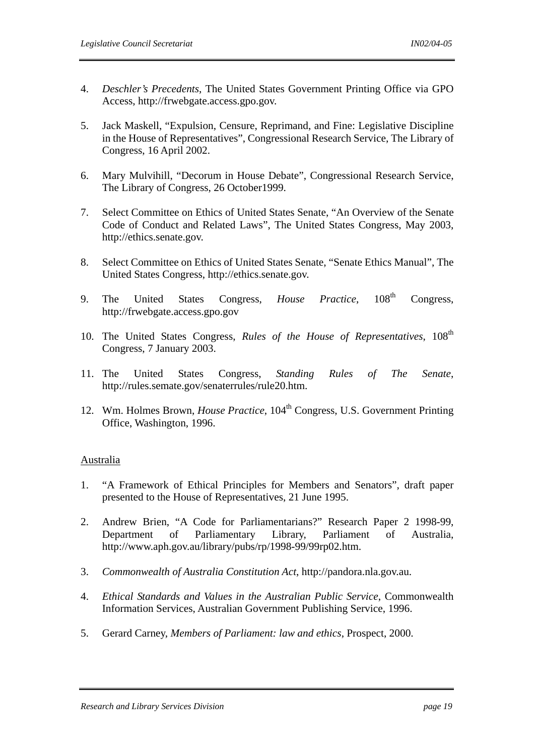- 4. *Deschler's Precedents*, The United States Government Printing Office via GPO Access, http://frwebgate.access.gpo.gov.
- 5. Jack Maskell, "Expulsion, Censure, Reprimand, and Fine: Legislative Discipline in the House of Representatives", Congressional Research Service, The Library of Congress, 16 April 2002.
- 6. Mary Mulvihill, "Decorum in House Debate", Congressional Research Service, The Library of Congress, 26 October1999.
- 7. Select Committee on Ethics of United States Senate, "An Overview of the Senate Code of Conduct and Related Laws", The United States Congress, May 2003, http://ethics.senate.gov.
- 8. Select Committee on Ethics of United States Senate, "Senate Ethics Manual", The United States Congress, http://ethics.senate.gov.
- 9. The United States Congress, *House Practice*, 108<sup>th</sup> Congress, http://frwebgate.access.gpo.gov
- 10. The United States Congress, *Rules of the House of Representatives*, 108<sup>th</sup> Congress, 7 January 2003.
- 11. The United States Congress, *Standing Rules of The Senate*, http://rules.semate.gov/senaterrules/rule20.htm.
- 12. Wm. Holmes Brown, *House Practice*, 104<sup>th</sup> Congress, U.S. Government Printing Office, Washington, 1996.

#### Australia

- 1. "A Framework of Ethical Principles for Members and Senators", draft paper presented to the House of Representatives, 21 June 1995.
- 2. Andrew Brien, "A Code for Parliamentarians?" Research Paper 2 1998-99, Department of Parliamentary Library, Parliament of Australia, http://www.aph.gov.au/library/pubs/rp/1998-99/99rp02.htm.
- 3. *Commonwealth of Australia Constitution Act*, http://pandora.nla.gov.au.
- 4. *Ethical Standards and Values in the Australian Public Service*, Commonwealth Information Services, Australian Government Publishing Service, 1996.
- 5. Gerard Carney, *Members of Parliament: law and ethics*, Prospect, 2000.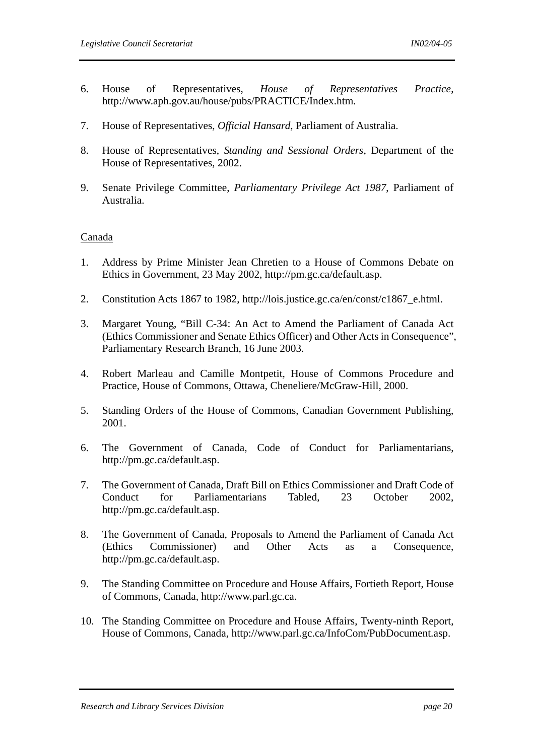- 6. House of Representatives, *House of Representatives Practice*, http://www.aph.gov.au/house/pubs/PRACTICE/Index.htm.
- 7. House of Representatives, *Official Hansard*, Parliament of Australia.
- 8. House of Representatives, *Standing and Sessional Orders*, Department of the House of Representatives, 2002.
- 9. Senate Privilege Committee, *Parliamentary Privilege Act 1987*, Parliament of Australia.

#### Canada

- 1. Address by Prime Minister Jean Chretien to a House of Commons Debate on Ethics in Government, 23 May 2002, http://pm.gc.ca/default.asp.
- 2. Constitution Acts 1867 to 1982, http://lois.justice.gc.ca/en/const/c1867\_e.html.
- 3. Margaret Young, "Bill C-34: An Act to Amend the Parliament of Canada Act (Ethics Commissioner and Senate Ethics Officer) and Other Acts in Consequence", Parliamentary Research Branch, 16 June 2003.
- 4. Robert Marleau and Camille Montpetit, House of Commons Procedure and Practice, House of Commons, Ottawa, Cheneliere/McGraw-Hill, 2000.
- 5. Standing Orders of the House of Commons, Canadian Government Publishing, 2001.
- 6. The Government of Canada, Code of Conduct for Parliamentarians, http://pm.gc.ca/default.asp.
- 7. The Government of Canada, Draft Bill on Ethics Commissioner and Draft Code of Conduct for Parliamentarians Tabled, 23 October 2002, http://pm.gc.ca/default.asp.
- 8. The Government of Canada, Proposals to Amend the Parliament of Canada Act (Ethics Commissioner) and Other Acts as a Consequence, http://pm.gc.ca/default.asp.
- 9. The Standing Committee on Procedure and House Affairs, Fortieth Report, House of Commons, Canada, http://www.parl.gc.ca.
- 10. The Standing Committee on Procedure and House Affairs, Twenty-ninth Report, House of Commons, Canada, http://www.parl.gc.ca/InfoCom/PubDocument.asp.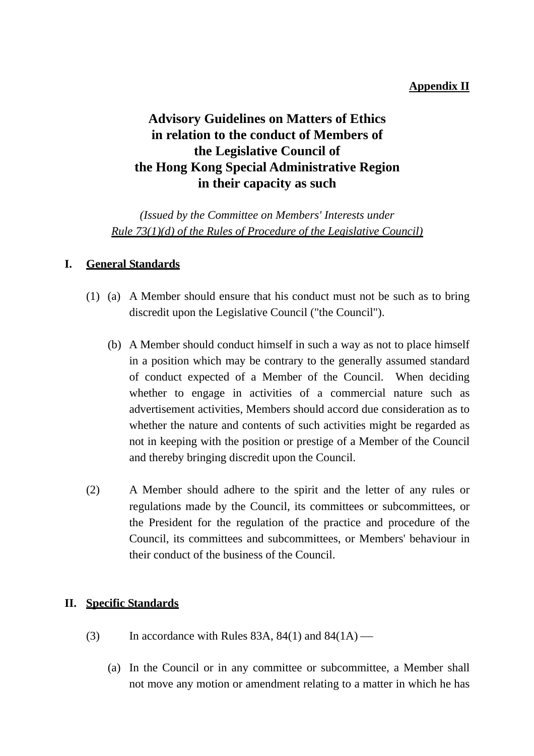# **Appendix II**

# **Advisory Guidelines on Matters of Ethics in relation to the conduct of Members of the Legislative Council of the Hong Kong Special Administrative Region in their capacity as such**

*(Issued by the Committee on Members' Interests under Rule 73(1)(d) of the Rules of Procedure of the Legislative Council)*

# **I. General Standards**

- (1) (a) A Member should ensure that his conduct must not be such as to bring discredit upon the Legislative Council ("the Council").
	- (b) A Member should conduct himself in such a way as not to place himself in a position which may be contrary to the generally assumed standard of conduct expected of a Member of the Council. When deciding whether to engage in activities of a commercial nature such as advertisement activities, Members should accord due consideration as to whether the nature and contents of such activities might be regarded as not in keeping with the position or prestige of a Member of the Council and thereby bringing discredit upon the Council.
- (2) A Member should adhere to the spirit and the letter of any rules or regulations made by the Council, its committees or subcommittees, or the President for the regulation of the practice and procedure of the Council, its committees and subcommittees, or Members' behaviour in their conduct of the business of the Council.

## **II. Specific Standards**

- (3) In accordance with Rules 83A,  $84(1)$  and  $84(1A)$ 
	- (a) In the Council or in any committee or subcommittee, a Member shall not move any motion or amendment relating to a matter in which he has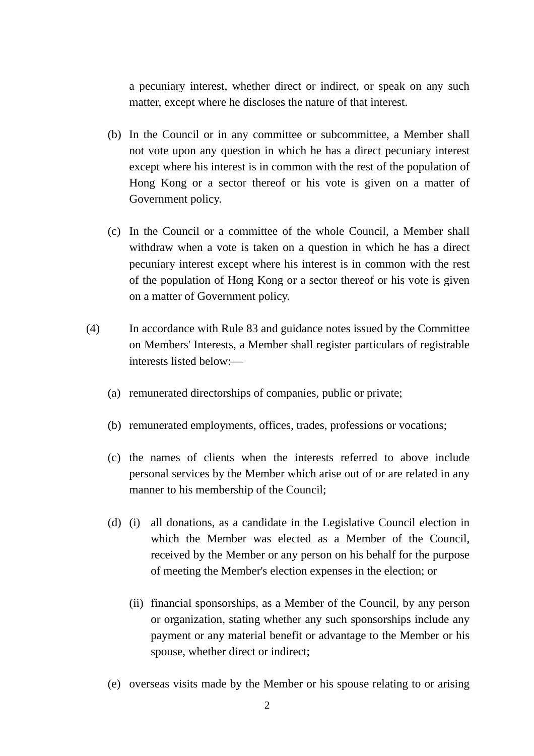a pecuniary interest, whether direct or indirect, or speak on any such matter, except where he discloses the nature of that interest.

- (b) In the Council or in any committee or subcommittee, a Member shall not vote upon any question in which he has a direct pecuniary interest except where his interest is in common with the rest of the population of Hong Kong or a sector thereof or his vote is given on a matter of Government policy.
- (c) In the Council or a committee of the whole Council, a Member shall withdraw when a vote is taken on a question in which he has a direct pecuniary interest except where his interest is in common with the rest of the population of Hong Kong or a sector thereof or his vote is given on a matter of Government policy.
- (4) In accordance with Rule 83 and guidance notes issued by the Committee on Members' Interests, a Member shall register particulars of registrable interests listed below:—
	- (a) remunerated directorships of companies, public or private;
	- (b) remunerated employments, offices, trades, professions or vocations;
	- (c) the names of clients when the interests referred to above include personal services by the Member which arise out of or are related in any manner to his membership of the Council;
	- (d) (i) all donations, as a candidate in the Legislative Council election in which the Member was elected as a Member of the Council, received by the Member or any person on his behalf for the purpose of meeting the Member's election expenses in the election; or
		- (ii) financial sponsorships, as a Member of the Council, by any person or organization, stating whether any such sponsorships include any payment or any material benefit or advantage to the Member or his spouse, whether direct or indirect;
	- (e) overseas visits made by the Member or his spouse relating to or arising